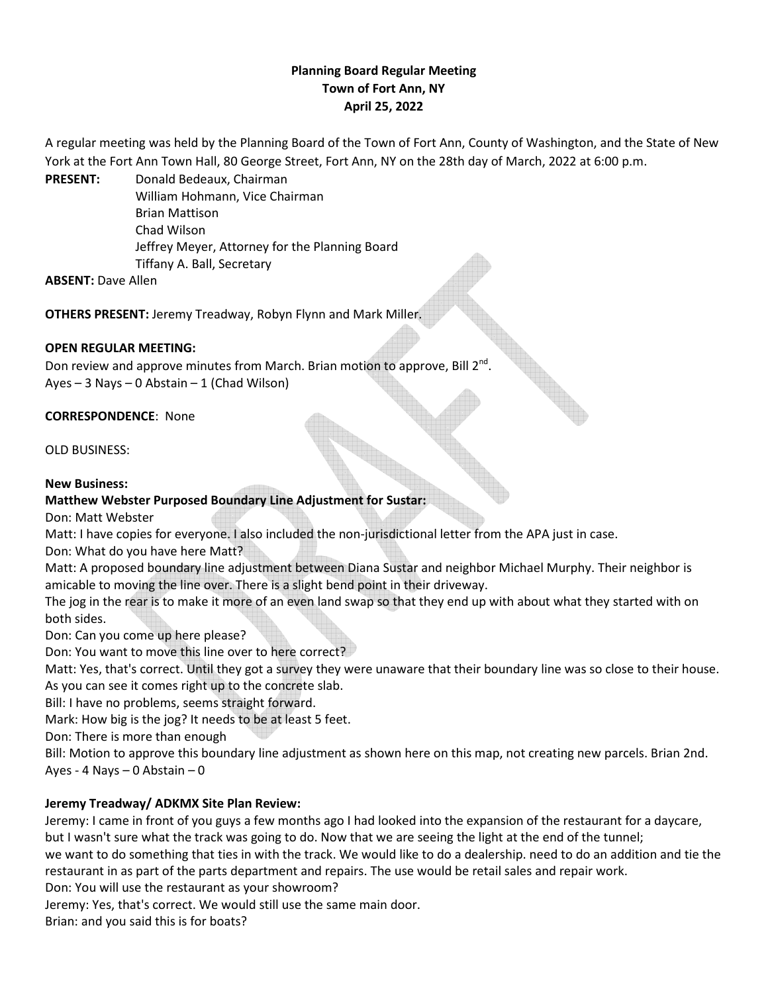# **Planning Board Regular Meeting Town of Fort Ann, NY April 25, 2022**

A regular meeting was held by the Planning Board of the Town of Fort Ann, County of Washington, and the State of New York at the Fort Ann Town Hall, 80 George Street, Fort Ann, NY on the 28th day of March, 2022 at 6:00 p.m.

**PRESENT:** Donald Bedeaux, Chairman William Hohmann, Vice Chairman Brian Mattison Chad Wilson Jeffrey Meyer, Attorney for the Planning Board Tiffany A. Ball, Secretary

**ABSENT:** Dave Allen

**OTHERS PRESENT:** Jeremy Treadway, Robyn Flynn and Mark Miller.

## **OPEN REGULAR MEETING:**

Don review and approve minutes from March. Brian motion to approve, Bill  $2^{nd}$ . Ayes – 3 Nays – 0 Abstain – 1 (Chad Wilson)

## **CORRESPONDENCE**: None

OLD BUSINESS:

## **New Business:**

## **Matthew Webster Purposed Boundary Line Adjustment for Sustar:**

Don: Matt Webster

Matt: I have copies for everyone. I also included the non-jurisdictional letter from the APA just in case.

Don: What do you have here Matt?

Matt: A proposed boundary line adjustment between Diana Sustar and neighbor Michael Murphy. Their neighbor is amicable to moving the line over. There is a slight bend point in their driveway.

The jog in the rear is to make it more of an even land swap so that they end up with about what they started with on both sides.

Don: Can you come up here please?

Don: You want to move this line over to here correct?

Matt: Yes, that's correct. Until they got a survey they were unaware that their boundary line was so close to their house. As you can see it comes right up to the concrete slab.

Bill: I have no problems, seems straight forward.

Mark: How big is the jog? It needs to be at least 5 feet.

Don: There is more than enough

Bill: Motion to approve this boundary line adjustment as shown here on this map, not creating new parcels. Brian 2nd. Ayes - 4 Nays – 0 Abstain – 0

## **Jeremy Treadway/ ADKMX Site Plan Review:**

Jeremy: I came in front of you guys a few months ago I had looked into the expansion of the restaurant for a daycare, but I wasn't sure what the track was going to do. Now that we are seeing the light at the end of the tunnel;

we want to do something that ties in with the track. We would like to do a dealership. need to do an addition and tie the restaurant in as part of the parts department and repairs. The use would be retail sales and repair work.

Don: You will use the restaurant as your showroom?

Jeremy: Yes, that's correct. We would still use the same main door.

Brian: and you said this is for boats?